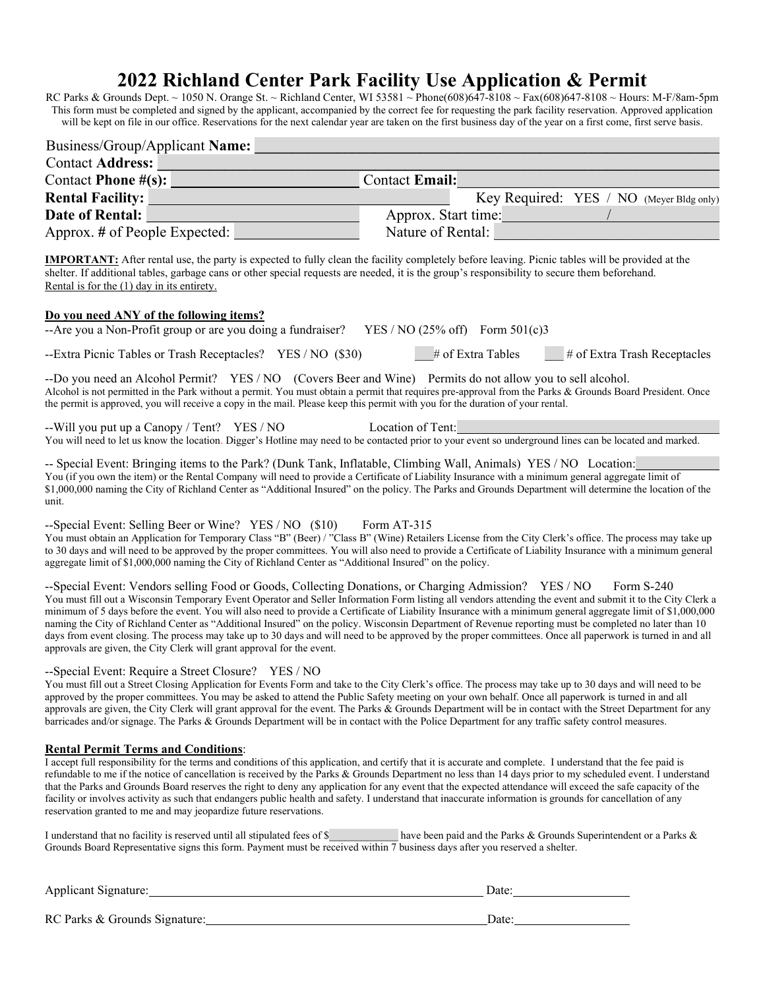## **2022 Richland Center Park Facility Use Application & Permit**

RC Parks & Grounds Dept. ~ 1050 N. Orange St. ~ Richland Center, WI 53581 ~ Phone(608)647-8108 ~ Fax(608)647-8108 ~ Hours: M-F/8am-5pm This form must be completed and signed by the applicant, accompanied by the correct fee for requesting the park facility reservation. Approved application will be kept on file in our office. Reservations for the next calendar year are taken on the first business day of the year on a first come, first serve basis.

| Business/Group/Applicant Name:                                                                                                                                                                                                             |                                                                                                                                                                                                                                                                                                                                                                                                                                                                                                                                                                                                                                                                    |
|--------------------------------------------------------------------------------------------------------------------------------------------------------------------------------------------------------------------------------------------|--------------------------------------------------------------------------------------------------------------------------------------------------------------------------------------------------------------------------------------------------------------------------------------------------------------------------------------------------------------------------------------------------------------------------------------------------------------------------------------------------------------------------------------------------------------------------------------------------------------------------------------------------------------------|
| <b>Contact Address:</b>                                                                                                                                                                                                                    |                                                                                                                                                                                                                                                                                                                                                                                                                                                                                                                                                                                                                                                                    |
| Contact Phone $\#(s)$ :                                                                                                                                                                                                                    | <b>Contact Email:</b>                                                                                                                                                                                                                                                                                                                                                                                                                                                                                                                                                                                                                                              |
| <b>Rental Facility:</b>                                                                                                                                                                                                                    | Key Required: YES / NO (Meyer Bldg only)                                                                                                                                                                                                                                                                                                                                                                                                                                                                                                                                                                                                                           |
| Date of Rental:                                                                                                                                                                                                                            | Approx. Start time:                                                                                                                                                                                                                                                                                                                                                                                                                                                                                                                                                                                                                                                |
| Approx. # of People Expected:                                                                                                                                                                                                              | Nature of Rental:                                                                                                                                                                                                                                                                                                                                                                                                                                                                                                                                                                                                                                                  |
| shelter. If additional tables, garbage cans or other special requests are needed, it is the group's responsibility to secure them beforehand.<br>Rental is for the $(1)$ day in its entirety.                                              | <b>IMPORTANT:</b> After rental use, the party is expected to fully clean the facility completely before leaving. Picnic tables will be provided at the                                                                                                                                                                                                                                                                                                                                                                                                                                                                                                             |
| Do you need ANY of the following items?                                                                                                                                                                                                    |                                                                                                                                                                                                                                                                                                                                                                                                                                                                                                                                                                                                                                                                    |
| --Are you a Non-Profit group or are you doing a fundraiser?                                                                                                                                                                                | YES / NO (25% off) Form $501(c)3$                                                                                                                                                                                                                                                                                                                                                                                                                                                                                                                                                                                                                                  |
| --Extra Picnic Tables or Trash Receptacles? YES / NO (\$30)                                                                                                                                                                                | # of Extra Tables<br># of Extra Trash Receptacles                                                                                                                                                                                                                                                                                                                                                                                                                                                                                                                                                                                                                  |
| --Do you need an Alcohol Permit? YES/NO (Covers Beer and Wine) Permits do not allow you to sell alcohol.<br>the permit is approved, you will receive a copy in the mail. Please keep this permit with you for the duration of your rental. | Alcohol is not permitted in the Park without a permit. You must obtain a permit that requires pre-approval from the Parks & Grounds Board President. Once                                                                                                                                                                                                                                                                                                                                                                                                                                                                                                          |
| --Will you put up a Canopy / Tent? YES / NO                                                                                                                                                                                                | Location of Tent:                                                                                                                                                                                                                                                                                                                                                                                                                                                                                                                                                                                                                                                  |
|                                                                                                                                                                                                                                            | You will need to let us know the location. Digger's Hotline may need to be contacted prior to your event so underground lines can be located and marked.                                                                                                                                                                                                                                                                                                                                                                                                                                                                                                           |
| -- Special Event: Bringing items to the Park? (Dunk Tank, Inflatable, Climbing Wall, Animals) YES / NO Location:<br>unit.                                                                                                                  | You (if you own the item) or the Rental Company will need to provide a Certificate of Liability Insurance with a minimum general aggregate limit of<br>\$1,000,000 naming the City of Richland Center as "Additional Insured" on the policy. The Parks and Grounds Department will determine the location of the                                                                                                                                                                                                                                                                                                                                                   |
| --Special Event: Selling Beer or Wine? YES / NO (\$10)<br>aggregate limit of \$1,000,000 naming the City of Richland Center as "Additional Insured" on the policy.                                                                         | Form AT-315<br>You must obtain an Application for Temporary Class "B" (Beer) / "Class B" (Wine) Retailers License from the City Clerk's office. The process may take up<br>to 30 days and will need to be approved by the proper committees. You will also need to provide a Certificate of Liability Insurance with a minimum general                                                                                                                                                                                                                                                                                                                             |
| --Special Event: Vendors selling Food or Goods, Collecting Donations, or Charging Admission? YES / NO<br>approvals are given, the City Clerk will grant approval for the event.                                                            | Form S-240<br>You must fill out a Wisconsin Temporary Event Operator and Seller Information Form listing all vendors attending the event and submit it to the City Clerk a<br>minimum of 5 days before the event. You will also need to provide a Certificate of Liability Insurance with a minimum general aggregate limit of \$1,000,000<br>naming the City of Richland Center as "Additional Insured" on the policy. Wisconsin Department of Revenue reporting must be completed no later than 10<br>days from event closing. The process may take up to 30 days and will need to be approved by the proper committees. Once all paperwork is turned in and all |
| --Special Event: Require a Street Closure? YES / NO<br>barricades and/or signage. The Parks & Grounds Department will be in contact with the Police Department for any traffic safety control measures.                                    | You must fill out a Street Closing Application for Events Form and take to the City Clerk's office. The process may take up to 30 days and will need to be<br>approved by the proper committees. You may be asked to attend the Public Safety meeting on your own behalf. Once all paperwork is turned in and all<br>approvals are given, the City Clerk will grant approval for the event. The Parks & Grounds Department will be in contact with the Street Department for any                                                                                                                                                                                   |
| <b>Rental Permit Terms and Conditions:</b>                                                                                                                                                                                                 |                                                                                                                                                                                                                                                                                                                                                                                                                                                                                                                                                                                                                                                                    |
| reservation granted to me and may jeopardize future reservations.                                                                                                                                                                          | I accept full responsibility for the terms and conditions of this application, and certify that it is accurate and complete. I understand that the fee paid is<br>refundable to me if the notice of cancellation is received by the Parks & Grounds Department no less than 14 days prior to my scheduled event. I understand<br>that the Parks and Grounds Board reserves the right to deny any application for any event that the expected attendance will exceed the safe capacity of the<br>facility or involves activity as such that endangers public health and safety. I understand that inaccurate information is grounds for cancellation of any         |
| Grounds Board Representative signs this form. Payment must be received within 7 business days after you reserved a shelter.                                                                                                                | I understand that no facility is reserved until all stipulated fees of \$have been paid and the Parks & Grounds Superintendent or a Parks &                                                                                                                                                                                                                                                                                                                                                                                                                                                                                                                        |
| Applicant Signature:                                                                                                                                                                                                                       | $\text{Date}$                                                                                                                                                                                                                                                                                                                                                                                                                                                                                                                                                                                                                                                      |

| Tipphount Dignature.          | baco. |
|-------------------------------|-------|
|                               |       |
|                               |       |
|                               |       |
| RC Parks & Grounds Signature: | Jate  |
|                               |       |